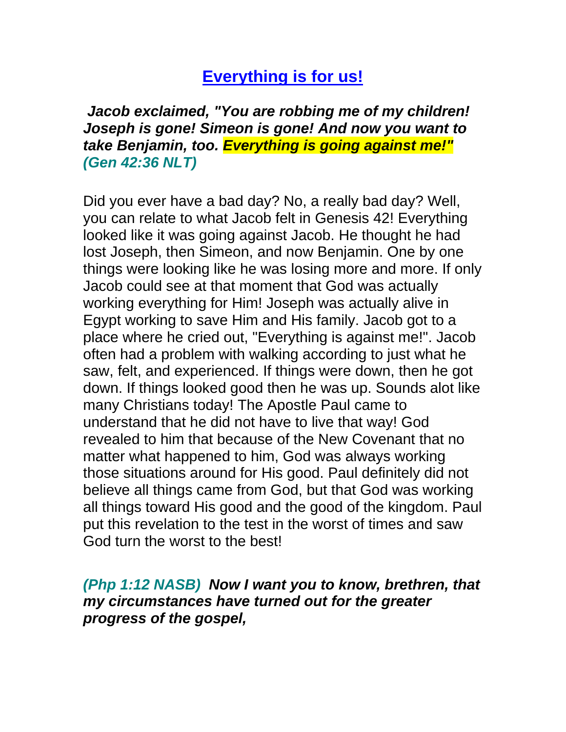## **Everything is for us!**

*Jacob exclaimed, "You are robbing me of my children! Joseph is gone! Simeon is gone! And now you want to take Benjamin, too. Everything is going against me!" (Gen 42:36 NLT)*

Did you ever have a bad day? No, a really bad day? Well, you can relate to what Jacob felt in Genesis 42! Everything looked like it was going against Jacob. He thought he had lost Joseph, then Simeon, and now Benjamin. One by one things were looking like he was losing more and more. If only Jacob could see at that moment that God was actually working everything for Him! Joseph was actually alive in Egypt working to save Him and His family. Jacob got to a place where he cried out, "Everything is against me!". Jacob often had a problem with walking according to just what he saw, felt, and experienced. If things were down, then he got down. If things looked good then he was up. Sounds alot like many Christians today! The Apostle Paul came to understand that he did not have to live that way! God revealed to him that because of the New Covenant that no matter what happened to him, God was always working those situations around for His good. Paul definitely did not believe all things came from God, but that God was working all things toward His good and the good of the kingdom. Paul put this revelation to the test in the worst of times and saw God turn the worst to the best!

*(Php 1:12 NASB) Now I want you to know, brethren, that my circumstances have turned out for the greater progress of the gospel,*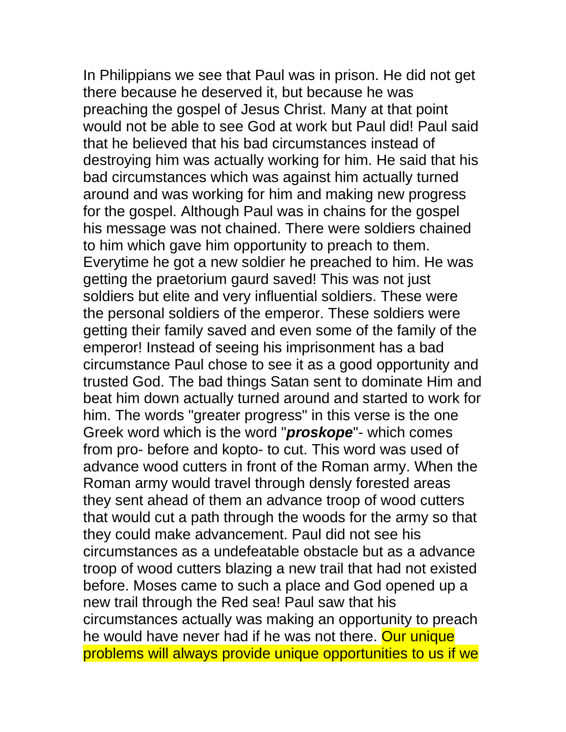In Philippians we see that Paul was in prison. He did not get there because he deserved it, but because he was preaching the gospel of Jesus Christ. Many at that point would not be able to see God at work but Paul did! Paul said that he believed that his bad circumstances instead of destroying him was actually working for him. He said that his bad circumstances which was against him actually turned around and was working for him and making new progress for the gospel. Although Paul was in chains for the gospel his message was not chained. There were soldiers chained to him which gave him opportunity to preach to them. Everytime he got a new soldier he preached to him. He was getting the praetorium gaurd saved! This was not just soldiers but elite and very influential soldiers. These were the personal soldiers of the emperor. These soldiers were getting their family saved and even some of the family of the emperor! Instead of seeing his imprisonment has a bad circumstance Paul chose to see it as a good opportunity and trusted God. The bad things Satan sent to dominate Him and beat him down actually turned around and started to work for him. The words "greater progress" in this verse is the one Greek word which is the word "*proskope*"- which comes from pro- before and kopto- to cut. This word was used of advance wood cutters in front of the Roman army. When the Roman army would travel through densly forested areas they sent ahead of them an advance troop of wood cutters that would cut a path through the woods for the army so that they could make advancement. Paul did not see his circumstances as a undefeatable obstacle but as a advance troop of wood cutters blazing a new trail that had not existed before. Moses came to such a place and God opened up a new trail through the Red sea! Paul saw that his circumstances actually was making an opportunity to preach he would have never had if he was not there. Our unique problems will always provide unique opportunities to us if we